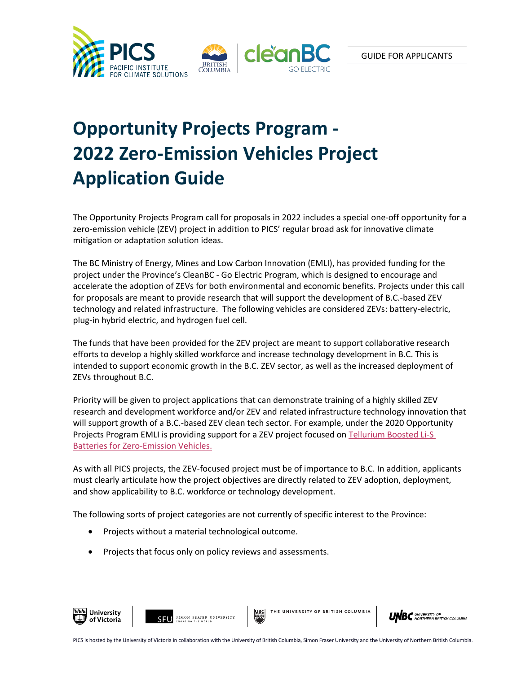

## **Opportunity Projects Program - 2022 Zero-Emission Vehicles Project Application Guide**

The Opportunity Projects Program call for proposals in 2022 includes a special one-off opportunity for a zero-emission vehicle (ZEV) project in addition to PICS' regular broad ask for innovative climate mitigation or adaptation solution ideas.

The BC Ministry of Energy, Mines and Low Carbon Innovation (EMLI), has provided funding for the project under the Province's CleanBC - Go Electric Program, which is designed to encourage and accelerate the adoption of ZEVs for both environmental and economic benefits. Projects under this call for proposals are meant to provide research that will support the development of B.C.-based ZEV technology and related infrastructure. The following vehicles are considered ZEVs: battery-electric, plug-in hybrid electric, and hydrogen fuel cell.

The funds that have been provided for the ZEV project are meant to support collaborative research efforts to develop a highly skilled workforce and increase technology development in B.C. This is intended to support economic growth in the B.C. ZEV sector, as well as the increased deployment of ZEVs throughout B.C.

Priority will be given to project applications that can demonstrate training of a highly skilled ZEV research and development workforce and/or ZEV and related infrastructure technology innovation that will support growth of a B.C.-based ZEV clean tech sector. For example, under the 2020 Opportunity Projects Program EMLI is providing support for a ZEV project focused on Tellurium Boosted Li-S Batteries for Zero-Emission Vehicles.

As with all PICS projects, the ZEV-focused project must be of importance to B.C. In addition, applicants must clearly articulate how the project objectives are directly related to ZEV adoption, deployment, and show applicability to B.C. workforce or technology development.

The following sorts of project categories are not currently of specific interest to the Province:

- Projects without a material technological outcome.
- Projects that focus only on policy reviews and assessments.



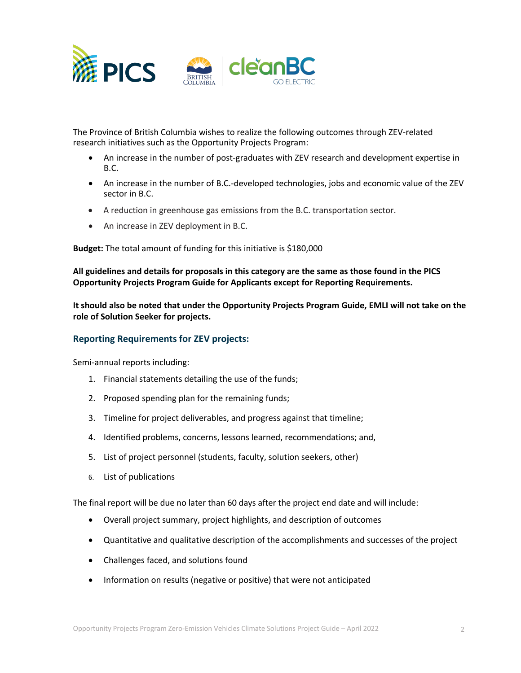

The Province of British Columbia wishes to realize the following outcomes through ZEV-related research initiatives such as the Opportunity Projects Program:

- An increase in the number of post-graduates with ZEV research and development expertise in B.C.
- An increase in the number of B.C.-developed technologies, jobs and economic value of the ZEV sector in B.C.
- A reduction in greenhouse gas emissions from the B.C. transportation sector.
- An increase in ZEV deployment in B.C.

**Budget:** The total amount of funding for this initiative is \$180,000

**All guidelines and details for proposals in this category are the same as those found in the PICS Opportunity Projects Program Guide for Applicants except for Reporting Requirements.**

**It should also be noted that under the Opportunity Projects Program Guide, EMLI will not take on the role of Solution Seeker for projects.** 

## **Reporting Requirements for ZEV projects:**

Semi-annual reports including:

- 1. Financial statements detailing the use of the funds;
- 2. Proposed spending plan for the remaining funds;
- 3. Timeline for project deliverables, and progress against that timeline;
- 4. Identified problems, concerns, lessons learned, recommendations; and,
- 5. List of project personnel (students, faculty, solution seekers, other)
- 6. List of publications

The final report will be due no later than 60 days after the project end date and will include:

- Overall project summary, project highlights, and description of outcomes
- Quantitative and qualitative description of the accomplishments and successes of the project
- Challenges faced, and solutions found
- Information on results (negative or positive) that were not anticipated